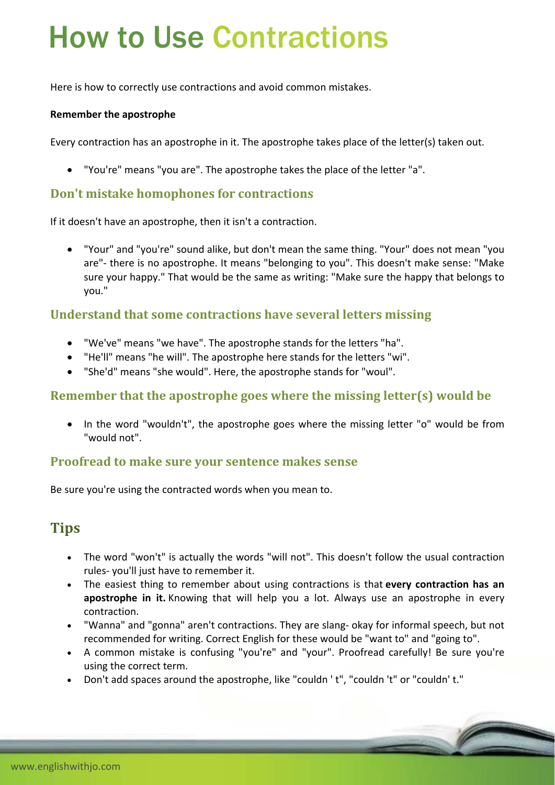# How to Use Contractions

Here is how to correctly use contractions and avoid common mistakes.

#### **Remember the apostrophe**

Every contraction has an apostrophe in it. The apostrophe takes place of the letter(s) taken out.

"You're" means "you are". The apostrophe takes the place of the letter "a".

#### **Don't mistake homophones for contractions**

If it doesn't have an apostrophe, then it isn't a contraction.

 "Your" and "you're" sound alike, but don't mean the same thing. "Your" does not mean "you are"‐ there is no apostrophe. It means "belonging to you". This doesn't make sense: "Make sure your happy." That would be the same as writing: "Make sure the happy that belongs to you."

#### **Understand that some contractions have several letters missing**

- "We've" means "we have". The apostrophe stands for the letters "ha".
- "He'll" means "he will". The apostrophe here stands for the letters "wi".
- "She'd" means "she would". Here, the apostrophe stands for "woul".

### **Remember that the apostrophe goes where the missing letter(s) would be**

• In the word "wouldn't", the apostrophe goes where the missing letter "o" would be from "would not".

#### **Proofread to make sure your sentence makes sense**

Be sure you're using the contracted words when you mean to.

## **Tips**

- The word "won't" is actually the words "will not". This doesn't follow the usual contraction rules‐ you'll just have to remember it.
- The easiest thing to remember about using contractions is that **every contraction has an apostrophe in it.** Knowing that will help you a lot. Always use an apostrophe in every contraction.
- "Wanna" and "gonna" aren't contractions. They are slang‐ okay for informal speech, but not recommended for writing. Correct English for these would be "want to" and "going to".
- A common mistake is confusing "you're" and "your". Proofread carefully! Be sure you're using the correct term.
- Don't add spaces around the apostrophe, like "couldn ' t", "couldn ' t" or "couldn' t."